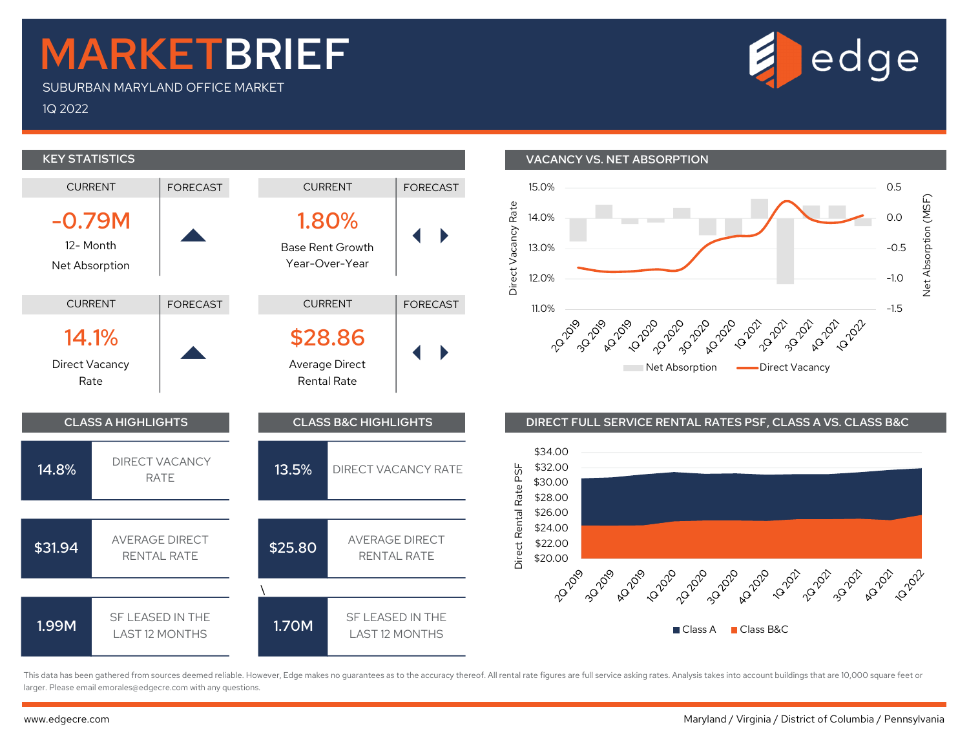## MARKETBRIEF

SUBURBAN MARYLAND OFFICE MARKET

1Q 2022



This data has been gathered from sources deemed reliable. However, Edge makes no guarantees as to the accuracy thereof. All rental rate figures are full service asking rates. Analysis takes into account buildings that are larger. Please email emorales@edgecre.com with any questions.